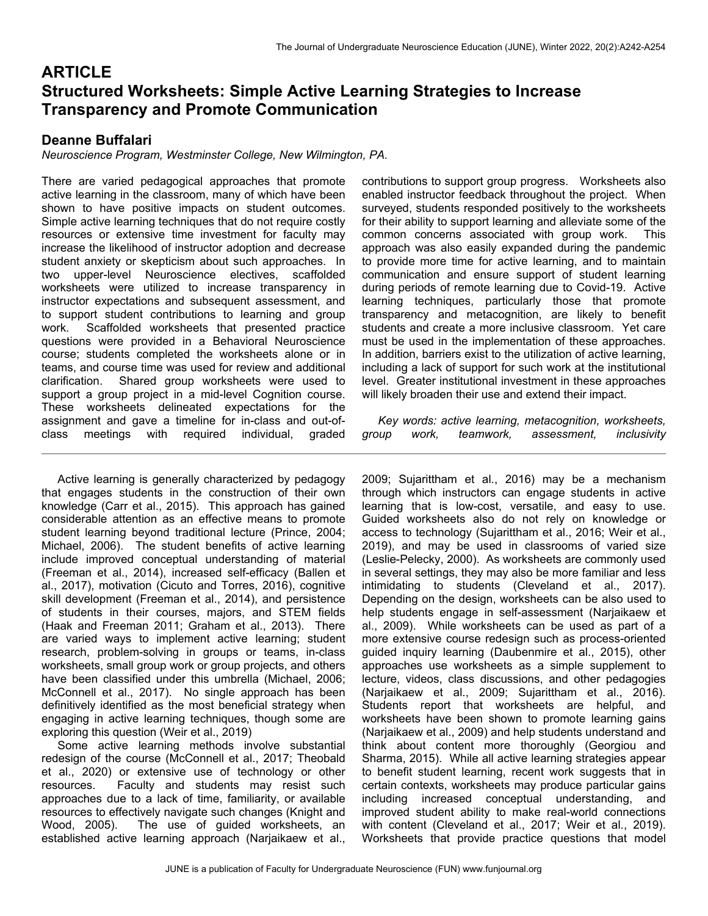# **ARTICLE Structured Worksheets: Simple Active Learning Strategies to Increase Transparency and Promote Communication**

## **Deanne Buffalari**

*Neuroscience Program, Westminster College, New Wilmington, PA.*

There are varied pedagogical approaches that promote active learning in the classroom, many of which have been shown to have positive impacts on student outcomes. Simple active learning techniques that do not require costly resources or extensive time investment for faculty may increase the likelihood of instructor adoption and decrease student anxiety or skepticism about such approaches. In two upper-level Neuroscience electives, scaffolded worksheets were utilized to increase transparency in instructor expectations and subsequent assessment, and to support student contributions to learning and group work. Scaffolded worksheets that presented practice questions were provided in a Behavioral Neuroscience course; students completed the worksheets alone or in teams, and course time was used for review and additional clarification. Shared group worksheets were used to support a group project in a mid-level Cognition course. These worksheets delineated expectations for the assignment and gave a timeline for in-class and out-ofclass meetings with required individual, graded

 Active learning is generally characterized by pedagogy that engages students in the construction of their own knowledge (Carr et al., 2015). This approach has gained considerable attention as an effective means to promote student learning beyond traditional lecture (Prince, 2004; Michael, 2006). The student benefits of active learning include improved conceptual understanding of material (Freeman et al., 2014), increased self-efficacy (Ballen et al., 2017), motivation (Cicuto and Torres, 2016), cognitive skill development (Freeman et al., 2014), and persistence of students in their courses, majors, and STEM fields (Haak and Freeman 2011; Graham et al., 2013). There are varied ways to implement active learning; student research, problem-solving in groups or teams, in-class worksheets, small group work or group projects, and others have been classified under this umbrella (Michael, 2006; McConnell et al., 2017). No single approach has been definitively identified as the most beneficial strategy when engaging in active learning techniques, though some are exploring this question (Weir et al., 2019)

 Some active learning methods involve substantial redesign of the course (McConnell et al., 2017; Theobald et al., 2020) or extensive use of technology or other resources. Faculty and students may resist such approaches due to a lack of time, familiarity, or available resources to effectively navigate such changes (Knight and Wood, 2005). The use of guided worksheets, an established active learning approach (Narjaikaew et al.,

contributions to support group progress. Worksheets also enabled instructor feedback throughout the project. When surveyed, students responded positively to the worksheets for their ability to support learning and alleviate some of the common concerns associated with group work. This approach was also easily expanded during the pandemic to provide more time for active learning, and to maintain communication and ensure support of student learning during periods of remote learning due to Covid-19. Active learning techniques, particularly those that promote transparency and metacognition, are likely to benefit students and create a more inclusive classroom. Yet care must be used in the implementation of these approaches. In addition, barriers exist to the utilization of active learning, including a lack of support for such work at the institutional level. Greater institutional investment in these approaches will likely broaden their use and extend their impact.

 *Key words: active learning, metacognition, worksheets, group work, teamwork, assessment, inclusivity*

2009; Sujarittham et al., 2016) may be a mechanism through which instructors can engage students in active learning that is low-cost, versatile, and easy to use. Guided worksheets also do not rely on knowledge or access to technology (Sujarittham et al., 2016; Weir et al., 2019), and may be used in classrooms of varied size (Leslie-Pelecky, 2000). As worksheets are commonly used in several settings, they may also be more familiar and less intimidating to students (Cleveland et al., 2017). Depending on the design, worksheets can be also used to help students engage in self-assessment (Narjaikaew et al., 2009). While worksheets can be used as part of a more extensive course redesign such as process-oriented guided inquiry learning (Daubenmire et al., 2015), other approaches use worksheets as a simple supplement to lecture, videos, class discussions, and other pedagogies (Narjaikaew et al., 2009; Sujarittham et al., 2016). Students report that worksheets are helpful, and worksheets have been shown to promote learning gains (Narjaikaew et al., 2009) and help students understand and think about content more thoroughly (Georgiou and Sharma, 2015). While all active learning strategies appear to benefit student learning, recent work suggests that in certain contexts, worksheets may produce particular gains including increased conceptual understanding, and improved student ability to make real-world connections with content (Cleveland et al., 2017; Weir et al., 2019). Worksheets that provide practice questions that model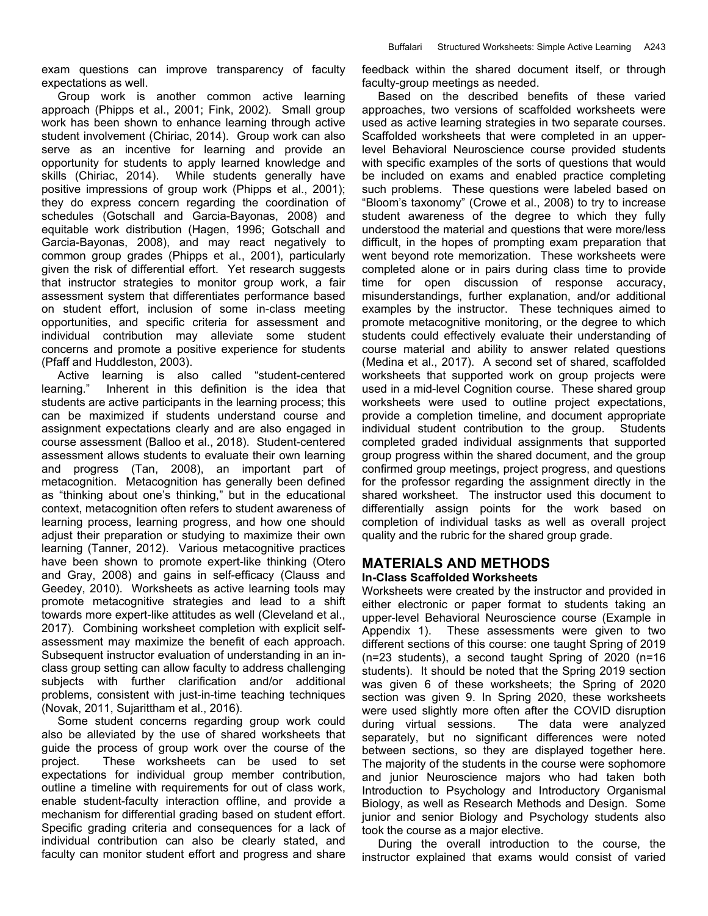exam questions can improve transparency of faculty expectations as well.

 Group work is another common active learning approach (Phipps et al., 2001; Fink, 2002). Small group work has been shown to enhance learning through active student involvement (Chiriac, 2014). Group work can also serve as an incentive for learning and provide an opportunity for students to apply learned knowledge and skills (Chiriac, 2014). While students generally have positive impressions of group work (Phipps et al., 2001); they do express concern regarding the coordination of schedules (Gotschall and Garcia-Bayonas, 2008) and equitable work distribution (Hagen, 1996; Gotschall and Garcia-Bayonas, 2008), and may react negatively to common group grades (Phipps et al., 2001), particularly given the risk of differential effort. Yet research suggests that instructor strategies to monitor group work, a fair assessment system that differentiates performance based on student effort, inclusion of some in-class meeting opportunities, and specific criteria for assessment and individual contribution may alleviate some student concerns and promote a positive experience for students (Pfaff and Huddleston, 2003).

 Active learning is also called "student-centered learning." Inherent in this definition is the idea that students are active participants in the learning process; this can be maximized if students understand course and assignment expectations clearly and are also engaged in course assessment (Balloo et al., 2018). Student-centered assessment allows students to evaluate their own learning and progress (Tan, 2008), an important part of metacognition. Metacognition has generally been defined as "thinking about one's thinking," but in the educational context, metacognition often refers to student awareness of learning process, learning progress, and how one should adjust their preparation or studying to maximize their own learning (Tanner, 2012). Various metacognitive practices have been shown to promote expert-like thinking (Otero and Gray, 2008) and gains in self-efficacy (Clauss and Geedey, 2010). Worksheets as active learning tools may promote metacognitive strategies and lead to a shift towards more expert-like attitudes as well (Cleveland et al., 2017). Combining worksheet completion with explicit selfassessment may maximize the benefit of each approach. Subsequent instructor evaluation of understanding in an inclass group setting can allow faculty to address challenging subjects with further clarification and/or additional problems, consistent with just-in-time teaching techniques (Novak, 2011, Sujarittham et al., 2016).

 Some student concerns regarding group work could also be alleviated by the use of shared worksheets that guide the process of group work over the course of the project. These worksheets can be used to set expectations for individual group member contribution, outline a timeline with requirements for out of class work, enable student-faculty interaction offline, and provide a mechanism for differential grading based on student effort. Specific grading criteria and consequences for a lack of individual contribution can also be clearly stated, and faculty can monitor student effort and progress and share

feedback within the shared document itself, or through faculty-group meetings as needed.

 Based on the described benefits of these varied approaches, two versions of scaffolded worksheets were used as active learning strategies in two separate courses. Scaffolded worksheets that were completed in an upperlevel Behavioral Neuroscience course provided students with specific examples of the sorts of questions that would be included on exams and enabled practice completing such problems. These questions were labeled based on "Bloom's taxonomy" (Crowe et al., 2008) to try to increase student awareness of the degree to which they fully understood the material and questions that were more/less difficult, in the hopes of prompting exam preparation that went beyond rote memorization. These worksheets were completed alone or in pairs during class time to provide time for open discussion of response accuracy, misunderstandings, further explanation, and/or additional examples by the instructor. These techniques aimed to promote metacognitive monitoring, or the degree to which students could effectively evaluate their understanding of course material and ability to answer related questions (Medina et al., 2017). A second set of shared, scaffolded worksheets that supported work on group projects were used in a mid-level Cognition course. These shared group worksheets were used to outline project expectations, provide a completion timeline, and document appropriate individual student contribution to the group. Students completed graded individual assignments that supported group progress within the shared document, and the group confirmed group meetings, project progress, and questions for the professor regarding the assignment directly in the shared worksheet. The instructor used this document to differentially assign points for the work based on completion of individual tasks as well as overall project quality and the rubric for the shared group grade.

# **MATERIALS AND METHODS**

## **In-Class Scaffolded Worksheets**

Worksheets were created by the instructor and provided in either electronic or paper format to students taking an upper-level Behavioral Neuroscience course (Example in Appendix 1). These assessments were given to two different sections of this course: one taught Spring of 2019 (n=23 students), a second taught Spring of 2020 (n=16 students). It should be noted that the Spring 2019 section was given 6 of these worksheets; the Spring of 2020 section was given 9. In Spring 2020, these worksheets were used slightly more often after the COVID disruption during virtual sessions. The data were analyzed separately, but no significant differences were noted between sections, so they are displayed together here. The majority of the students in the course were sophomore and junior Neuroscience majors who had taken both Introduction to Psychology and Introductory Organismal Biology, as well as Research Methods and Design. Some junior and senior Biology and Psychology students also took the course as a major elective.

 During the overall introduction to the course, the instructor explained that exams would consist of varied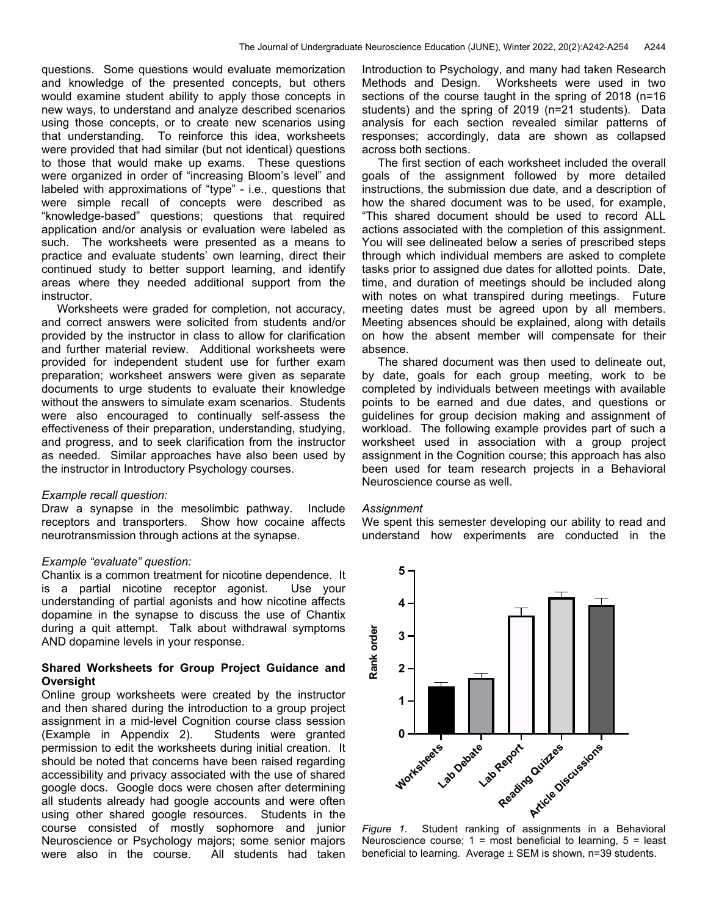questions. Some questions would evaluate memorization and knowledge of the presented concepts, but others would examine student ability to apply those concepts in new ways, to understand and analyze described scenarios using those concepts, or to create new scenarios using that understanding. To reinforce this idea, worksheets were provided that had similar (but not identical) questions to those that would make up exams. These questions were organized in order of "increasing Bloom's level" and labeled with approximations of "type" - i.e., questions that were simple recall of concepts were described as "knowledge-based" questions; questions that required application and/or analysis or evaluation were labeled as such. The worksheets were presented as a means to practice and evaluate students' own learning, direct their continued study to better support learning, and identify areas where they needed additional support from the instructor.

Worksheets were graded for completion, not accuracy, and correct answers were solicited from students and/or provided by the instructor in class to allow for clarification and further material review. Additional worksheets were provided for independent student use for further exam preparation; worksheet answers were given as separate documents to urge students to evaluate their knowledge without the answers to simulate exam scenarios. Students were also encouraged to continually self-assess the effectiveness of their preparation, understanding, studying, and progress, and to seek clarification from the instructor as needed. Similar approaches have also been used by the instructor in Introductory Psychology courses.

#### *Example recall question:*

Draw a synapse in the mesolimbic pathway. Include receptors and transporters. Show how cocaine affects neurotransmission through actions at the synapse.

#### *Example "evaluate" question:*

Chantix is a common treatment for nicotine dependence. It is a partial nicotine receptor agonist. Use your understanding of partial agonists and how nicotine affects dopamine in the synapse to discuss the use of Chantix during a quit attempt. Talk about withdrawal symptoms AND dopamine levels in your response.

## **Shared Worksheets for Group Project Guidance and Oversight**

Online group worksheets were created by the instructor and then shared during the introduction to a group project assignment in a mid-level Cognition course class session (Example in Appendix 2). Students were granted permission to edit the worksheets during initial creation. It should be noted that concerns have been raised regarding accessibility and privacy associated with the use of shared google docs. Google docs were chosen after determining all students already had google accounts and were often using other shared google resources. Students in the course consisted of mostly sophomore and junior Neuroscience or Psychology majors; some senior majors were also in the course. All students had taken

Introduction to Psychology, and many had taken Research Methods and Design. Worksheets were used in two sections of the course taught in the spring of 2018 (n=16 students) and the spring of 2019 (n=21 students). Data analysis for each section revealed similar patterns of responses; accordingly, data are shown as collapsed across both sections.

 The first section of each worksheet included the overall goals of the assignment followed by more detailed instructions, the submission due date, and a description of how the shared document was to be used, for example, "This shared document should be used to record ALL actions associated with the completion of this assignment. You will see delineated below a series of prescribed steps through which individual members are asked to complete tasks prior to assigned due dates for allotted points. Date, time, and duration of meetings should be included along with notes on what transpired during meetings. Future meeting dates must be agreed upon by all members. Meeting absences should be explained, along with details on how the absent member will compensate for their absence.

 The shared document was then used to delineate out, by date, goals for each group meeting, work to be completed by individuals between meetings with available points to be earned and due dates, and questions or guidelines for group decision making and assignment of workload. The following example provides part of such a worksheet used in association with a group project assignment in the Cognition course; this approach has also been used for team research projects in a Behavioral Neuroscience course as well.

#### *Assignment*

We spent this semester developing our ability to read and understand how experiments are conducted in the



*Figure 1.* Student ranking of assignments in a Behavioral Neuroscience course;  $1 = \text{most beneficial to learning}, 5 = \text{least}$ beneficial to learning. Average  $\pm$  SEM is shown, n=39 students.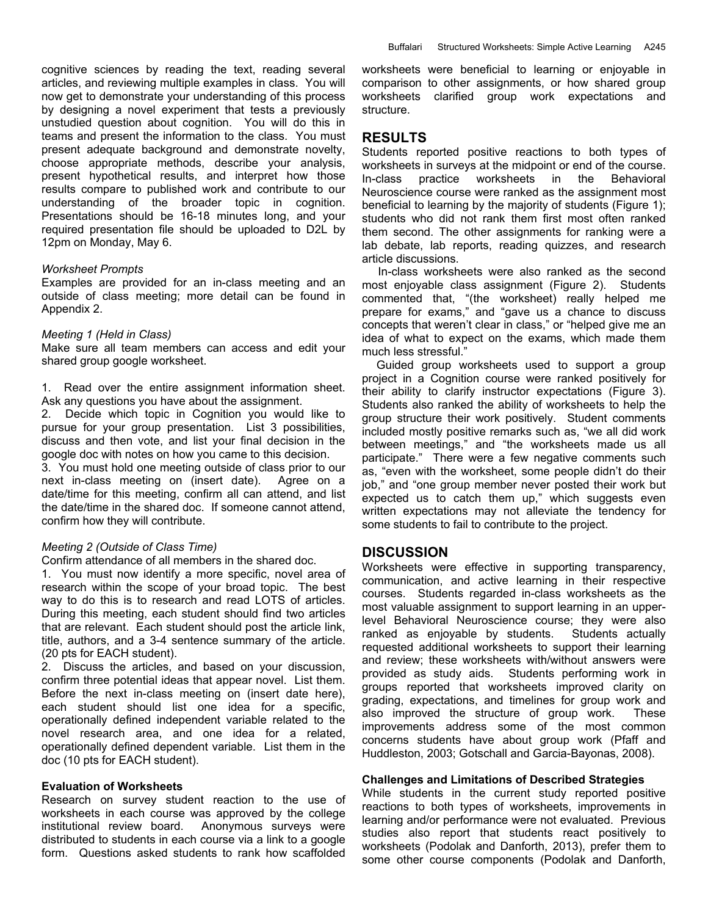cognitive sciences by reading the text, reading several articles, and reviewing multiple examples in class. You will now get to demonstrate your understanding of this process by designing a novel experiment that tests a previously unstudied question about cognition. You will do this in teams and present the information to the class. You must present adequate background and demonstrate novelty, choose appropriate methods, describe your analysis, present hypothetical results, and interpret how those results compare to published work and contribute to our understanding of the broader topic in cognition. Presentations should be 16-18 minutes long, and your required presentation file should be uploaded to D2L by 12pm on Monday, May 6.

#### *Worksheet Prompts*

Examples are provided for an in-class meeting and an outside of class meeting; more detail can be found in Appendix 2.

#### *Meeting 1 (Held in Class)*

Make sure all team members can access and edit your shared group google worksheet.

1. Read over the entire assignment information sheet. Ask any questions you have about the assignment.

2. Decide which topic in Cognition you would like to pursue for your group presentation. List 3 possibilities, discuss and then vote, and list your final decision in the google doc with notes on how you came to this decision.

3. You must hold one meeting outside of class prior to our next in-class meeting on (insert date). Agree on a date/time for this meeting, confirm all can attend, and list the date/time in the shared doc. If someone cannot attend, confirm how they will contribute.

#### *Meeting 2 (Outside of Class Time)*

Confirm attendance of all members in the shared doc.

1. You must now identify a more specific, novel area of research within the scope of your broad topic. The best way to do this is to research and read LOTS of articles. During this meeting, each student should find two articles that are relevant. Each student should post the article link, title, authors, and a 3-4 sentence summary of the article. (20 pts for EACH student).

2. Discuss the articles, and based on your discussion, confirm three potential ideas that appear novel. List them. Before the next in-class meeting on (insert date here), each student should list one idea for a specific, operationally defined independent variable related to the novel research area, and one idea for a related, operationally defined dependent variable. List them in the doc (10 pts for EACH student).

#### **Evaluation of Worksheets**

Research on survey student reaction to the use of worksheets in each course was approved by the college institutional review board.Anonymous surveys were distributed to students in each course via a link to a google form. Questions asked students to rank how scaffolded worksheets were beneficial to learning or enjoyable in comparison to other assignments, or how shared group worksheets clarified group work expectations and structure.

#### **RESULTS**

Students reported positive reactions to both types of worksheets in surveys at the midpoint or end of the course. In-class practice worksheets in the Behavioral Neuroscience course were ranked as the assignment most beneficial to learning by the majority of students (Figure 1); students who did not rank them first most often ranked them second. The other assignments for ranking were a lab debate, lab reports, reading quizzes, and research article discussions.

 In-class worksheets were also ranked as the second most enjoyable class assignment (Figure 2). Students commented that, "(the worksheet) really helped me prepare for exams," and "gave us a chance to discuss concepts that weren't clear in class," or "helped give me an idea of what to expect on the exams, which made them much less stressful."

 Guided group worksheets used to support a group project in a Cognition course were ranked positively for their ability to clarify instructor expectations (Figure 3). Students also ranked the ability of worksheets to help the group structure their work positively. Student comments included mostly positive remarks such as, "we all did work between meetings," and "the worksheets made us all participate." There were a few negative comments such as, "even with the worksheet, some people didn't do their job," and "one group member never posted their work but expected us to catch them up," which suggests even written expectations may not alleviate the tendency for some students to fail to contribute to the project.

## **DISCUSSION**

Worksheets were effective in supporting transparency, communication, and active learning in their respective courses. Students regarded in-class worksheets as the most valuable assignment to support learning in an upperlevel Behavioral Neuroscience course; they were also ranked as enjoyable by students. Students actually requested additional worksheets to support their learning and review; these worksheets with/without answers were provided as study aids. Students performing work in groups reported that worksheets improved clarity on grading, expectations, and timelines for group work and also improved the structure of group work. These improvements address some of the most common concerns students have about group work (Pfaff and Huddleston, 2003; Gotschall and Garcia-Bayonas, 2008).

#### **Challenges and Limitations of Described Strategies**

While students in the current study reported positive reactions to both types of worksheets, improvements in learning and/or performance were not evaluated. Previous studies also report that students react positively to worksheets (Podolak and Danforth, 2013), prefer them to some other course components (Podolak and Danforth,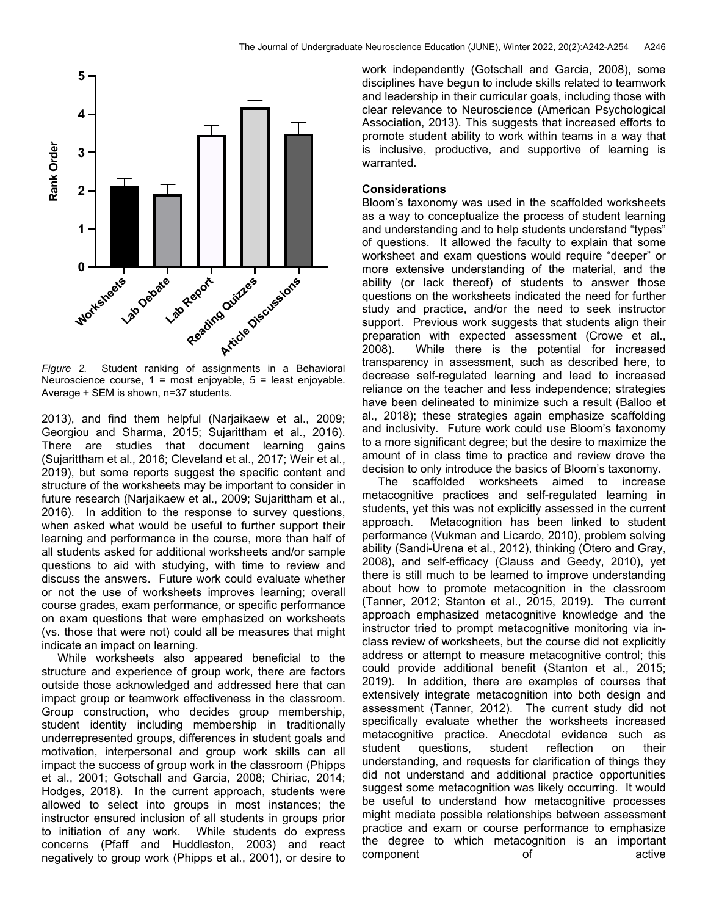

*Figure 2.* Student ranking of assignments in a Behavioral Neuroscience course, 1 = most enjoyable, 5 = least enjoyable. Average  $\pm$  SEM is shown, n=37 students.

2013), and find them helpful (Narjaikaew et al., 2009; Georgiou and Sharma, 2015; Sujarittham et al., 2016). There are studies that document learning gains (Sujarittham et al., 2016; Cleveland et al., 2017; Weir et al., 2019), but some reports suggest the specific content and structure of the worksheets may be important to consider in future research (Narjaikaew et al., 2009; Sujarittham et al., 2016). In addition to the response to survey questions, when asked what would be useful to further support their learning and performance in the course, more than half of all students asked for additional worksheets and/or sample questions to aid with studying, with time to review and discuss the answers. Future work could evaluate whether or not the use of worksheets improves learning; overall course grades, exam performance, or specific performance on exam questions that were emphasized on worksheets (vs. those that were not) could all be measures that might indicate an impact on learning.

 While worksheets also appeared beneficial to the structure and experience of group work, there are factors outside those acknowledged and addressed here that can impact group or teamwork effectiveness in the classroom. Group construction, who decides group membership, student identity including membership in traditionally underrepresented groups, differences in student goals and motivation, interpersonal and group work skills can all impact the success of group work in the classroom (Phipps et al., 2001; Gotschall and Garcia, 2008; Chiriac, 2014; Hodges, 2018). In the current approach, students were allowed to select into groups in most instances; the instructor ensured inclusion of all students in groups prior to initiation of any work. While students do express concerns (Pfaff and Huddleston, 2003) and react negatively to group work (Phipps et al., 2001), or desire to work independently (Gotschall and Garcia, 2008), some disciplines have begun to include skills related to teamwork and leadership in their curricular goals, including those with clear relevance to Neuroscience (American Psychological Association, 2013). This suggests that increased efforts to promote student ability to work within teams in a way that is inclusive, productive, and supportive of learning is warranted.

### **Considerations**

Bloom's taxonomy was used in the scaffolded worksheets as a way to conceptualize the process of student learning and understanding and to help students understand "types" of questions. It allowed the faculty to explain that some worksheet and exam questions would require "deeper" or more extensive understanding of the material, and the ability (or lack thereof) of students to answer those questions on the worksheets indicated the need for further study and practice, and/or the need to seek instructor support. Previous work suggests that students align their preparation with expected assessment (Crowe et al., 2008). While there is the potential for increased transparency in assessment, such as described here, to decrease self-regulated learning and lead to increased reliance on the teacher and less independence; strategies have been delineated to minimize such a result (Balloo et al., 2018); these strategies again emphasize scaffolding and inclusivity. Future work could use Bloom's taxonomy to a more significant degree; but the desire to maximize the amount of in class time to practice and review drove the decision to only introduce the basics of Bloom's taxonomy.

 The scaffolded worksheets aimed to increase metacognitive practices and self-regulated learning in students, yet this was not explicitly assessed in the current approach. Metacognition has been linked to student performance (Vukman and Licardo, 2010), problem solving ability (Sandi-Urena et al., 2012), thinking (Otero and Gray, 2008), and self-efficacy (Clauss and Geedy, 2010), yet there is still much to be learned to improve understanding about how to promote metacognition in the classroom (Tanner, 2012; Stanton et al., 2015, 2019). The current approach emphasized metacognitive knowledge and the instructor tried to prompt metacognitive monitoring via inclass review of worksheets, but the course did not explicitly address or attempt to measure metacognitive control; this could provide additional benefit (Stanton et al., 2015; 2019). In addition, there are examples of courses that extensively integrate metacognition into both design and assessment (Tanner, 2012). The current study did not specifically evaluate whether the worksheets increased metacognitive practice. Anecdotal evidence such as student questions, student reflection on their understanding, and requests for clarification of things they did not understand and additional practice opportunities suggest some metacognition was likely occurring. It would be useful to understand how metacognitive processes might mediate possible relationships between assessment practice and exam or course performance to emphasize the degree to which metacognition is an important component of active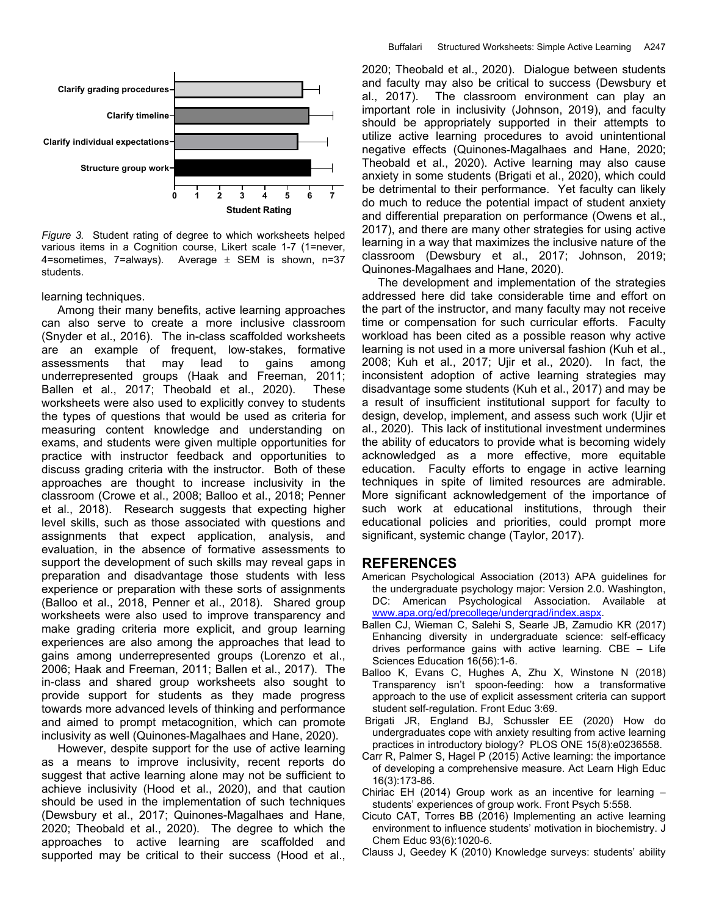

*Figure 3.* Student rating of degree to which worksheets helped various items in a Cognition course, Likert scale 1-7 (1=never, 4=sometimes, 7=always). Average  $\pm$  SEM is shown, n=37 students.

learning techniques.

 Among their many benefits, active learning approaches can also serve to create a more inclusive classroom (Snyder et al., 2016). The in-class scaffolded worksheets are an example of frequent, low-stakes, formative assessments that may lead to gains among underrepresented groups (Haak and Freeman, 2011; Ballen et al., 2017; Theobald et al., 2020). These worksheets were also used to explicitly convey to students the types of questions that would be used as criteria for measuring content knowledge and understanding on exams, and students were given multiple opportunities for practice with instructor feedback and opportunities to discuss grading criteria with the instructor. Both of these approaches are thought to increase inclusivity in the classroom (Crowe et al., 2008; Balloo et al., 2018; Penner et al., 2018). Research suggests that expecting higher level skills, such as those associated with questions and assignments that expect application, analysis, and evaluation, in the absence of formative assessments to support the development of such skills may reveal gaps in preparation and disadvantage those students with less experience or preparation with these sorts of assignments (Balloo et al., 2018, Penner et al., 2018). Shared group worksheets were also used to improve transparency and make grading criteria more explicit, and group learning experiences are also among the approaches that lead to gains among underrepresented groups (Lorenzo et al., 2006; Haak and Freeman, 2011; Ballen et al., 2017). The in-class and shared group worksheets also sought to provide support for students as they made progress towards more advanced levels of thinking and performance and aimed to prompt metacognition, which can promote inclusivity as well (Quinones-Magalhaes and Hane, 2020).

 However, despite support for the use of active learning as a means to improve inclusivity, recent reports do suggest that active learning alone may not be sufficient to achieve inclusivity (Hood et al., 2020), and that caution should be used in the implementation of such techniques (Dewsbury et al., 2017; Quinones-Magalhaes and Hane, 2020; Theobald et al., 2020). The degree to which the approaches to active learning are scaffolded and supported may be critical to their success (Hood et al., 2020; Theobald et al., 2020). Dialogue between students and faculty may also be critical to success (Dewsbury et al., 2017). The classroom environment can play an important role in inclusivity (Johnson, 2019), and faculty should be appropriately supported in their attempts to utilize active learning procedures to avoid unintentional negative effects (Quinones-Magalhaes and Hane, 2020; Theobald et al., 2020). Active learning may also cause anxiety in some students (Brigati et al., 2020), which could be detrimental to their performance. Yet faculty can likely do much to reduce the potential impact of student anxiety and differential preparation on performance (Owens et al., 2017), and there are many other strategies for using active learning in a way that maximizes the inclusive nature of the classroom (Dewsbury et al., 2017; Johnson, 2019; Quinones-Magalhaes and Hane, 2020).

 The development and implementation of the strategies addressed here did take considerable time and effort on the part of the instructor, and many faculty may not receive time or compensation for such curricular efforts. Faculty workload has been cited as a possible reason why active learning is not used in a more universal fashion (Kuh et al., 2008; Kuh et al., 2017; Ujir et al., 2020). In fact, the inconsistent adoption of active learning strategies may disadvantage some students (Kuh et al., 2017) and may be a result of insufficient institutional support for faculty to design, develop, implement, and assess such work (Ujir et al., 2020). This lack of institutional investment undermines the ability of educators to provide what is becoming widely acknowledged as a more effective, more equitable education. Faculty efforts to engage in active learning techniques in spite of limited resources are admirable. More significant acknowledgement of the importance of such work at educational institutions, through their educational policies and priorities, could prompt more significant, systemic change (Taylor, 2017).

#### **REFERENCES**

- American Psychological Association (2013) APA guidelines for the undergraduate psychology major: Version 2.0. Washington, DC: American Psychological Association. Available at www.apa.org/ed/precollege/undergrad/index.aspx.
- Ballen CJ, Wieman C, Salehi S, Searle JB, Zamudio KR (2017) Enhancing diversity in undergraduate science: self-efficacy drives performance gains with active learning. CBE – Life Sciences Education 16(56):1-6.
- Balloo K, Evans C, Hughes A, Zhu X, Winstone N (2018) Transparency isn't spoon-feeding: how a transformative approach to the use of explicit assessment criteria can support student self-regulation. Front Educ 3:69.
- Brigati JR, England BJ, Schussler EE (2020) How do undergraduates cope with anxiety resulting from active learning practices in introductory biology? PLOS ONE 15(8):e0236558.
- Carr R, Palmer S, Hagel P (2015) Active learning: the importance of developing a comprehensive measure. Act Learn High Educ 16(3):173-86.
- Chiriac EH (2014) Group work as an incentive for learning students' experiences of group work. Front Psych 5:558.
- Cicuto CAT, Torres BB (2016) Implementing an active learning environment to influence students' motivation in biochemistry. J Chem Educ 93(6):1020-6.
- Clauss J, Geedey K (2010) Knowledge surveys: students' ability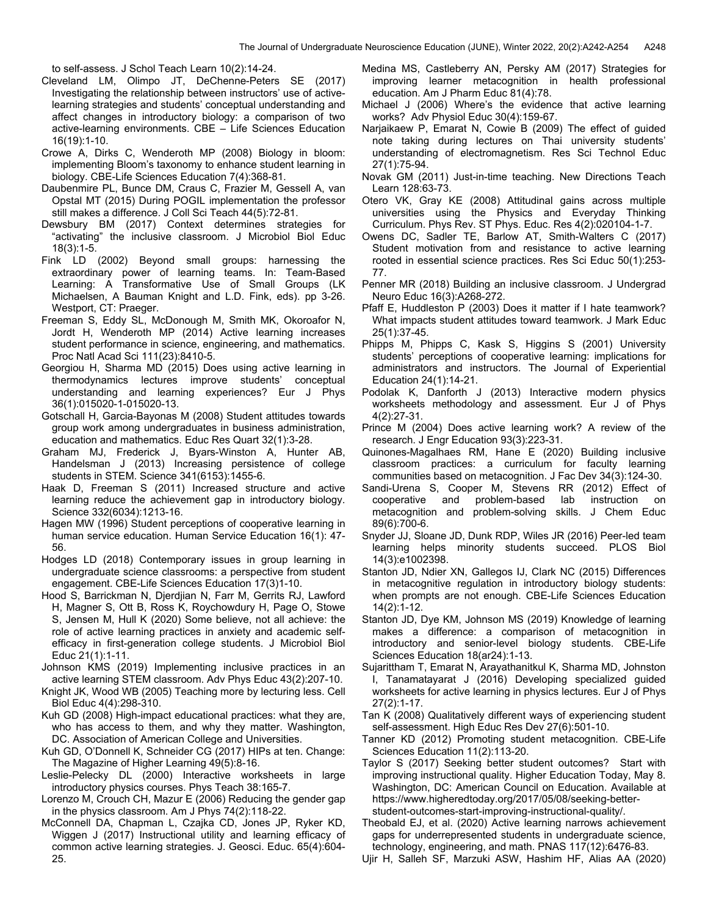to self-assess. J Schol Teach Learn 10(2):14-24.

- Cleveland LM, Olimpo JT, DeChenne-Peters SE (2017) Investigating the relationship between instructors' use of activelearning strategies and students' conceptual understanding and affect changes in introductory biology: a comparison of two active-learning environments. CBE – Life Sciences Education 16(19):1-10.
- Crowe A, Dirks C, Wenderoth MP (2008) Biology in bloom: implementing Bloom's taxonomy to enhance student learning in biology. CBE-Life Sciences Education 7(4):368-81.
- Daubenmire PL, Bunce DM, Craus C, Frazier M, Gessell A, van Opstal MT (2015) During POGIL implementation the professor still makes a difference. J Coll Sci Teach 44(5):72-81.
- Dewsbury BM (2017) Context determines strategies for "activating" the inclusive classroom. J Microbiol Biol Educ 18(3):1-5.
- Fink LD (2002) Beyond small groups: harnessing the extraordinary power of learning teams. In: Team-Based Learning: A Transformative Use of Small Groups (LK Michaelsen, A Bauman Knight and L.D. Fink, eds). pp 3-26. Westport, CT: Praeger.
- Freeman S, Eddy SL, McDonough M, Smith MK, Okoroafor N, Jordt H, Wenderoth MP (2014) Active learning increases student performance in science, engineering, and mathematics. Proc Natl Acad Sci 111(23):8410-5.
- Georgiou H, Sharma MD (2015) Does using active learning in thermodynamics lectures improve students' conceptual understanding and learning experiences? Eur J Phys 36(1):015020-1-015020-13.
- Gotschall H, Garcia-Bayonas M (2008) Student attitudes towards group work among undergraduates in business administration, education and mathematics. Educ Res Quart 32(1):3-28.
- Graham MJ, Frederick J, Byars-Winston A, Hunter AB, Handelsman J (2013) Increasing persistence of college students in STEM. Science 341(6153):1455-6.
- Haak D, Freeman S (2011) Increased structure and active learning reduce the achievement gap in introductory biology. Science 332(6034):1213-16.
- Hagen MW (1996) Student perceptions of cooperative learning in human service education. Human Service Education 16(1): 47- 56.
- Hodges LD (2018) Contemporary issues in group learning in undergraduate science classrooms: a perspective from student engagement. CBE-Life Sciences Education 17(3)1-10.
- Hood S, Barrickman N, Djerdjian N, Farr M, Gerrits RJ, Lawford H, Magner S, Ott B, Ross K, Roychowdury H, Page O, Stowe S, Jensen M, Hull K (2020) Some believe, not all achieve: the role of active learning practices in anxiety and academic selfefficacy in first-generation college students. J Microbiol Biol Educ 21(1):1-11.
- Johnson KMS (2019) Implementing inclusive practices in an active learning STEM classroom. Adv Phys Educ 43(2):207-10.
- Knight JK, Wood WB (2005) Teaching more by lecturing less. Cell Biol Educ 4(4):298-310.
- Kuh GD (2008) High-impact educational practices: what they are, who has access to them, and why they matter. Washington, DC. Association of American College and Universities.
- Kuh GD, O'Donnell K, Schneider CG (2017) HIPs at ten. Change: The Magazine of Higher Learning 49(5):8-16.
- Leslie-Pelecky DL (2000) Interactive worksheets in large introductory physics courses. Phys Teach 38:165-7.
- Lorenzo M, Crouch CH, Mazur E (2006) Reducing the gender gap in the physics classroom. Am J Phys 74(2):118-22.
- McConnell DA, Chapman L, Czajka CD, Jones JP, Ryker KD, Wiggen J (2017) Instructional utility and learning efficacy of common active learning strategies. J. Geosci. Educ. 65(4):604- 25.
- Medina MS, Castleberry AN, Persky AM (2017) Strategies for improving learner metacognition in health professional education. Am J Pharm Educ 81(4):78.
- Michael J (2006) Where's the evidence that active learning works? Adv Physiol Educ 30(4):159-67.
- Narjaikaew P, Emarat N, Cowie B (2009) The effect of guided note taking during lectures on Thai university students' understanding of electromagnetism. Res Sci Technol Educ 27(1):75-94.
- Novak GM (2011) Just-in-time teaching. New Directions Teach Learn 128:63-73.
- Otero VK, Gray KE (2008) Attitudinal gains across multiple universities using the Physics and Everyday Thinking Curriculum. Phys Rev. ST Phys. Educ. Res 4(2):020104-1-7.
- Owens DC, Sadler TE, Barlow AT, Smith-Walters C (2017) Student motivation from and resistance to active learning rooted in essential science practices. Res Sci Educ 50(1):253- 77.
- Penner MR (2018) Building an inclusive classroom. J Undergrad Neuro Educ 16(3):A268-272.
- Pfaff E, Huddleston P (2003) Does it matter if I hate teamwork? What impacts student attitudes toward teamwork. J Mark Educ 25(1):37-45.
- Phipps M, Phipps C, Kask S, Higgins S (2001) University students' perceptions of cooperative learning: implications for administrators and instructors. The Journal of Experiential Education 24(1):14-21.
- Podolak K, Danforth J (2013) Interactive modern physics worksheets methodology and assessment. Eur J of Phys 4(2):27-31.
- Prince M (2004) Does active learning work? A review of the research. J Engr Education 93(3):223-31.
- Quinones-Magalhaes RM, Hane E (2020) Building inclusive classroom practices: a curriculum for faculty learning communities based on metacognition. J Fac Dev 34(3):124-30.
- Sandi-Urena S, Cooper M, Stevens RR (2012) Effect of cooperative and problem-based lab instruction on metacognition and problem-solving skills. J Chem Educ 89(6):700-6.
- Snyder JJ, Sloane JD, Dunk RDP, Wiles JR (2016) Peer-led team learning helps minority students succeed. PLOS Biol 14(3):e1002398.
- Stanton JD, Ndier XN, Gallegos IJ, Clark NC (2015) Differences in metacognitive regulation in introductory biology students: when prompts are not enough. CBE-Life Sciences Education 14(2):1-12.
- Stanton JD, Dye KM, Johnson MS (2019) Knowledge of learning makes a difference: a comparison of metacognition in introductory and senior-level biology students. CBE-Life Sciences Education 18(ar24):1-13.
- Sujarittham T, Emarat N, Arayathanitkul K, Sharma MD, Johnston I, Tanamatayarat J (2016) Developing specialized guided worksheets for active learning in physics lectures. Eur J of Phys 27(2):1-17.
- Tan K (2008) Qualitatively different ways of experiencing student self-assessment. High Educ Res Dev 27(6):501-10.
- Tanner KD (2012) Promoting student metacognition. CBE-Life Sciences Education 11(2):113-20.
- Taylor S (2017) Seeking better student outcomes? Start with improving instructional quality. Higher Education Today, May 8. Washington, DC: American Council on Education. Available at https://www.higheredtoday.org/2017/05/08/seeking-betterstudent-outcomes-start-improving-instructional-quality/.
- Theobald EJ, et al. (2020) Active learning narrows achievement gaps for underrepresented students in undergraduate science, technology, engineering, and math. PNAS 117(12):6476-83.
- Ujir H, Salleh SF, Marzuki ASW, Hashim HF, Alias AA (2020)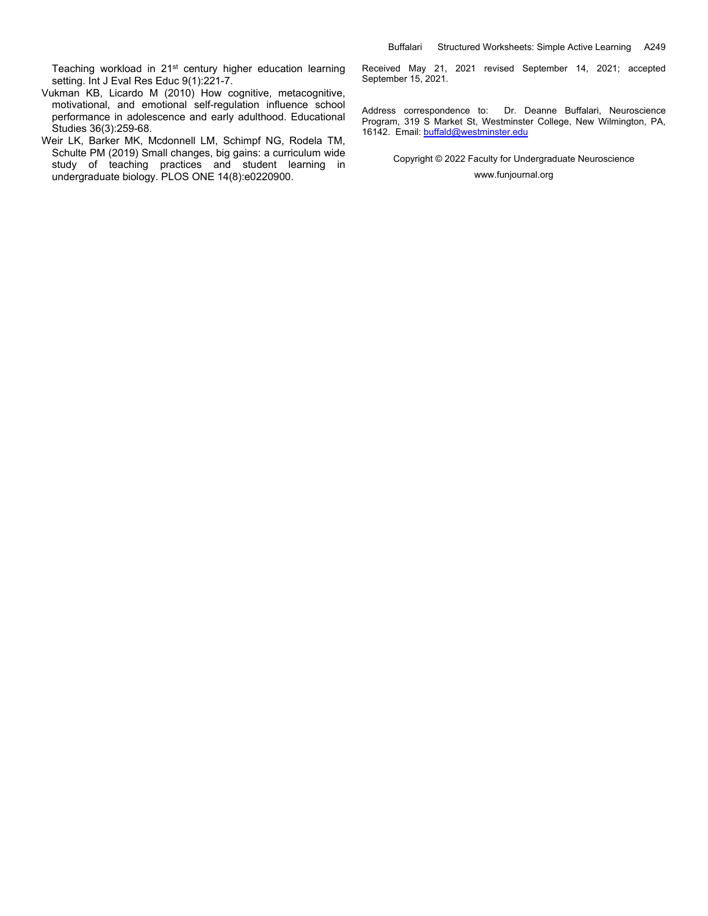Teaching workload in 21<sup>st</sup> century higher education learning setting. Int J Eval Res Educ 9(1):221-7.

- Vukman KB, Licardo M (2010) How cognitive, metacognitive, motivational, and emotional self-regulation influence school performance in adolescence and early adulthood. Educational Studies 36(3):259-68.
- Weir LK, Barker MK, Mcdonnell LM, Schimpf NG, Rodela TM, Schulte PM (2019) Small changes, big gains: a curriculum wide study of teaching practices and student learning in undergraduate biology. PLOS ONE 14(8):e0220900.

Received May 21, 2021 revised September 14, 2021; accepted September 15, 2021.

Address correspondence to: Dr. Deanne Buffalari, Neuroscience Program, 319 S Market St, Westminster College, New Wilmington, PA, 16142. Email: buffald@westminster.edu

> Copyright © 2022 Faculty for Undergraduate Neuroscience www.funjournal.org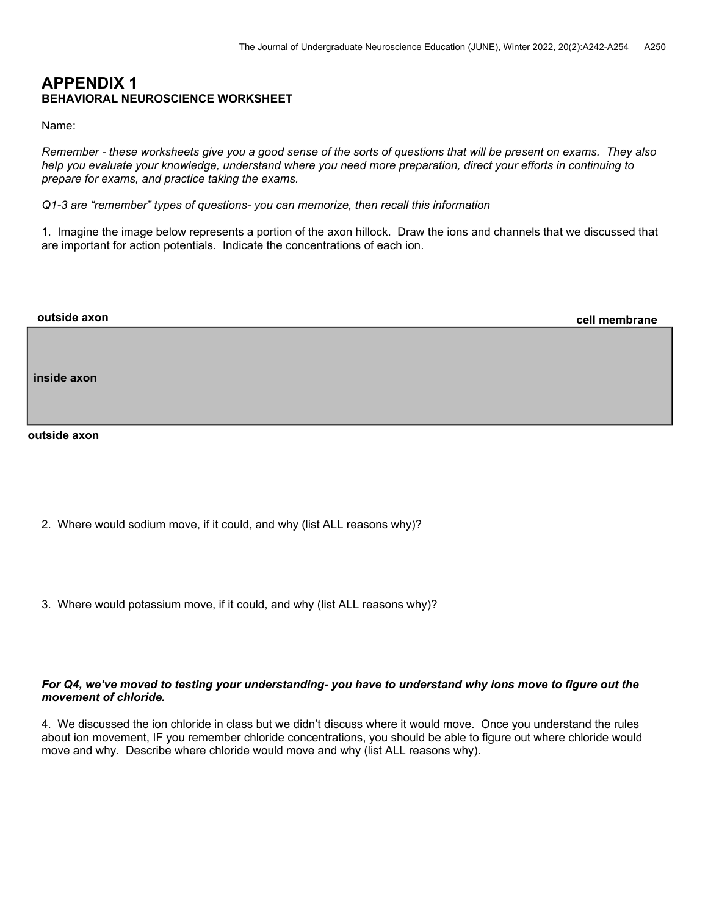## **APPENDIX 1 BEHAVIORAL NEUROSCIENCE WORKSHEET**

Name:

*Remember - these worksheets give you a good sense of the sorts of questions that will be present on exams. They also help you evaluate your knowledge, understand where you need more preparation, direct your efforts in continuing to prepare for exams, and practice taking the exams.* 

*Q1-3 are "remember" types of questions- you can memorize, then recall this information* 

1. Imagine the image below represents a portion of the axon hillock. Draw the ions and channels that we discussed that are important for action potentials. Indicate the concentrations of each ion.

| outside axon | cell membrane |
|--------------|---------------|
|              |               |
| inside axon  |               |
|              |               |
|              |               |
| outside axon |               |
|              |               |

- 2. Where would sodium move, if it could, and why (list ALL reasons why)?
- 3. Where would potassium move, if it could, and why (list ALL reasons why)?

## *For Q4, we've moved to testing your understanding- you have to understand why ions move to figure out the movement of chloride.*

4. We discussed the ion chloride in class but we didn't discuss where it would move. Once you understand the rules about ion movement, IF you remember chloride concentrations, you should be able to figure out where chloride would move and why. Describe where chloride would move and why (list ALL reasons why).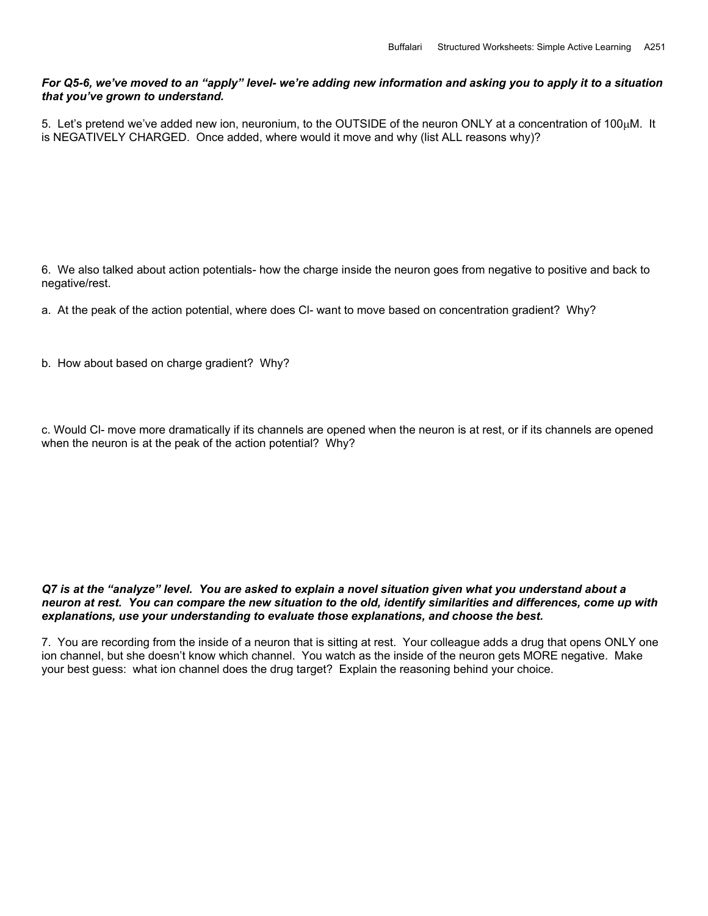## *For Q5-6, we've moved to an "apply" level- we're adding new information and asking you to apply it to a situation that you've grown to understand.*

5. Let's pretend we've added new ion, neuronium, to the OUTSIDE of the neuron ONLY at a concentration of 100 $\mu$ M. It is NEGATIVELY CHARGED. Once added, where would it move and why (list ALL reasons why)?

6. We also talked about action potentials- how the charge inside the neuron goes from negative to positive and back to negative/rest.

a. At the peak of the action potential, where does Cl- want to move based on concentration gradient? Why?

b. How about based on charge gradient? Why?

c. Would Cl- move more dramatically if its channels are opened when the neuron is at rest, or if its channels are opened when the neuron is at the peak of the action potential? Why?

### *Q7 is at the "analyze" level. You are asked to explain a novel situation given what you understand about a neuron at rest. You can compare the new situation to the old, identify similarities and differences, come up with explanations, use your understanding to evaluate those explanations, and choose the best.*

7. You are recording from the inside of a neuron that is sitting at rest. Your colleague adds a drug that opens ONLY one ion channel, but she doesn't know which channel. You watch as the inside of the neuron gets MORE negative. Make your best guess: what ion channel does the drug target? Explain the reasoning behind your choice.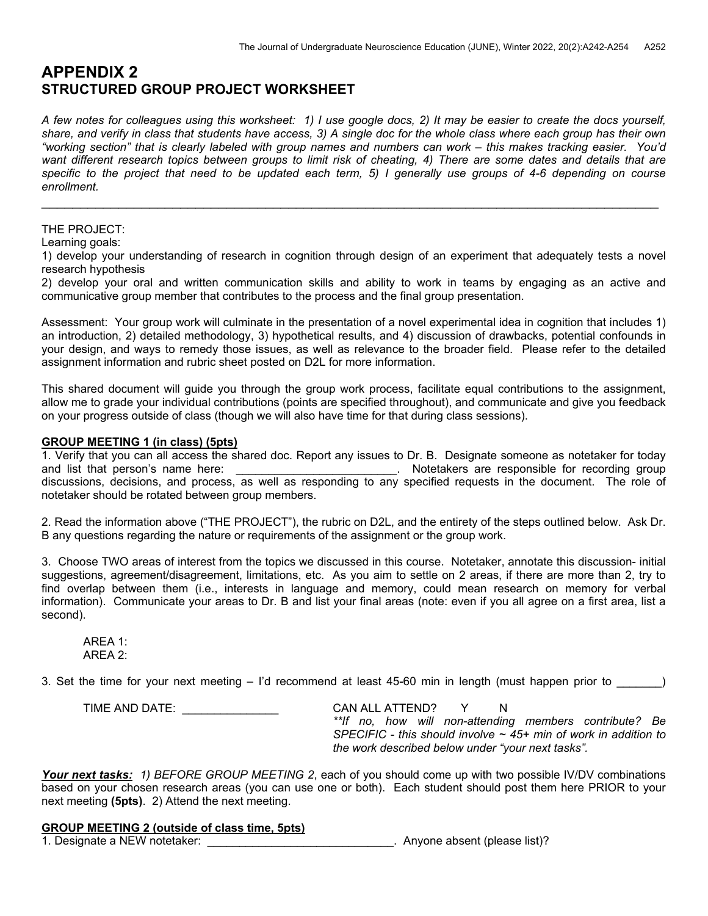# **APPENDIX 2 STRUCTURED GROUP PROJECT WORKSHEET**

*A few notes for colleagues using this worksheet: 1) I use google docs, 2) It may be easier to create the docs yourself, share, and verify in class that students have access, 3) A single doc for the whole class where each group has their own "working section" that is clearly labeled with group names and numbers can work – this makes tracking easier. You'd*  want different research topics between groups to limit risk of cheating, 4) There are some dates and details that are specific to the project that need to be updated each term, 5) I generally use groups of 4-6 depending on course *enrollment.* 

 $\mathcal{L}_\mathcal{L} = \mathcal{L}_\mathcal{L} = \mathcal{L}_\mathcal{L} = \mathcal{L}_\mathcal{L} = \mathcal{L}_\mathcal{L} = \mathcal{L}_\mathcal{L} = \mathcal{L}_\mathcal{L} = \mathcal{L}_\mathcal{L} = \mathcal{L}_\mathcal{L} = \mathcal{L}_\mathcal{L} = \mathcal{L}_\mathcal{L} = \mathcal{L}_\mathcal{L} = \mathcal{L}_\mathcal{L} = \mathcal{L}_\mathcal{L} = \mathcal{L}_\mathcal{L} = \mathcal{L}_\mathcal{L} = \mathcal{L}_\mathcal{L}$ 

## THE PROJECT:

Learning goals:

1) develop your understanding of research in cognition through design of an experiment that adequately tests a novel research hypothesis

2) develop your oral and written communication skills and ability to work in teams by engaging as an active and communicative group member that contributes to the process and the final group presentation.

Assessment: Your group work will culminate in the presentation of a novel experimental idea in cognition that includes 1) an introduction, 2) detailed methodology, 3) hypothetical results, and 4) discussion of drawbacks, potential confounds in your design, and ways to remedy those issues, as well as relevance to the broader field. Please refer to the detailed assignment information and rubric sheet posted on D2L for more information.

This shared document will guide you through the group work process, facilitate equal contributions to the assignment, allow me to grade your individual contributions (points are specified throughout), and communicate and give you feedback on your progress outside of class (though we will also have time for that during class sessions).

## **GROUP MEETING 1 (in class) (5pts)**

1. Verify that you can all access the shared doc. Report any issues to Dr. B. Designate someone as notetaker for today and list that person's name here: \_\_\_\_\_\_\_\_\_\_\_\_\_\_\_\_\_\_\_\_\_\_\_\_\_. Notetakers are responsible for recording group discussions, decisions, and process, as well as responding to any specified requests in the document. The role of notetaker should be rotated between group members.

2. Read the information above ("THE PROJECT"), the rubric on D2L, and the entirety of the steps outlined below. Ask Dr. B any questions regarding the nature or requirements of the assignment or the group work.

3. Choose TWO areas of interest from the topics we discussed in this course. Notetaker, annotate this discussion- initial suggestions, agreement/disagreement, limitations, etc. As you aim to settle on 2 areas, if there are more than 2, try to find overlap between them (i.e., interests in language and memory, could mean research on memory for verbal information). Communicate your areas to Dr. B and list your final areas (note: even if you all agree on a first area, list a second).

 AREA 1: AREA 2:

3. Set the time for your next meeting – I'd recommend at least 45-60 min in length (must happen prior to )

 TIME AND DATE: \_\_\_\_\_\_\_\_\_\_\_\_\_\_\_ CAN ALL ATTEND? Y N *\*\*If no, how will non-attending members contribute? Be SPECIFIC - this should involve ~ 45+ min of work in addition to the work described below under "your next tasks".* 

*Your next tasks: 1) BEFORE GROUP MEETING 2*, each of you should come up with two possible IV/DV combinations based on your chosen research areas (you can use one or both). Each student should post them here PRIOR to your next meeting **(5pts)**. 2) Attend the next meeting.

## **GROUP MEETING 2 (outside of class time, 5pts)**

1. Designate a NEW notetaker: \_\_\_\_\_\_\_\_\_\_\_\_\_\_\_\_\_\_\_\_\_\_\_\_\_\_\_\_\_. Anyone absent (please list)?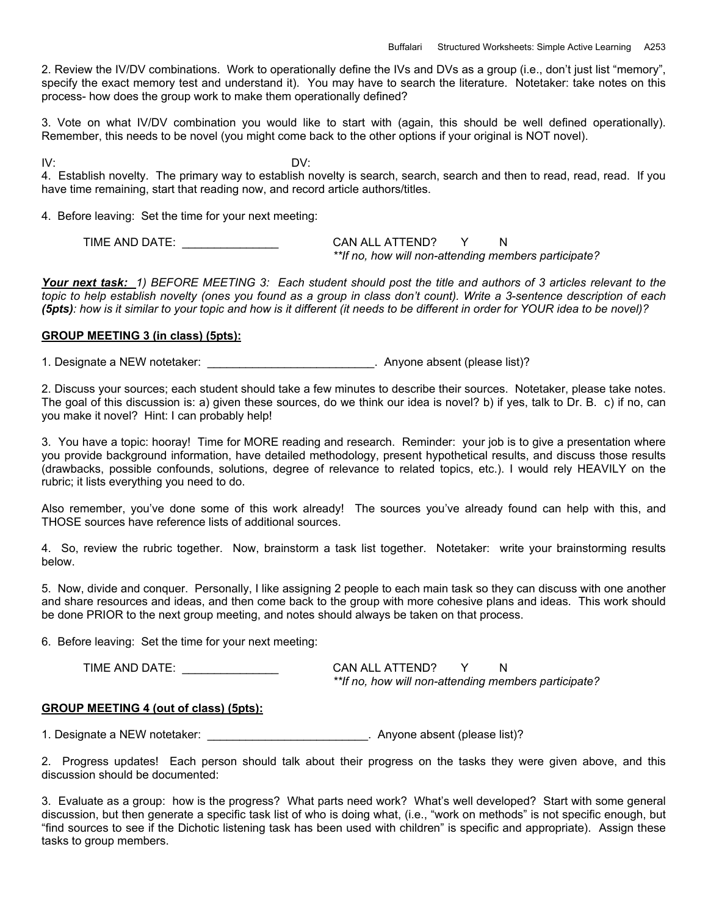2. Review the IV/DV combinations. Work to operationally define the IVs and DVs as a group (i.e., don't just list "memory", specify the exact memory test and understand it). You may have to search the literature. Notetaker: take notes on this process- how does the group work to make them operationally defined?

3. Vote on what IV/DV combination you would like to start with (again, this should be well defined operationally). Remember, this needs to be novel (you might come back to the other options if your original is NOT novel).

IV: DV:

4. Establish novelty. The primary way to establish novelty is search, search, search and then to read, read, read. If you have time remaining, start that reading now, and record article authors/titles.

4. Before leaving: Set the time for your next meeting:

TIME AND DATE:  $\begin{array}{ccc} \text{CAN ALL ATTEND?} & \text{Y} & \text{N} \end{array}$ *\*\*If no, how will non-attending members participate?* 

*Your next task: 1) BEFORE MEETING 3: Each student should post the title and authors of 3 articles relevant to the topic to help establish novelty (ones you found as a group in class don't count). Write a 3-sentence description of each (5pts): how is it similar to your topic and how is it different (it needs to be different in order for YOUR idea to be novel)?* 

## **GROUP MEETING 3 (in class) (5pts):**

1. Designate a NEW notetaker:  $\blacksquare$  Anyone absent (please list)?

2. Discuss your sources; each student should take a few minutes to describe their sources. Notetaker, please take notes. The goal of this discussion is: a) given these sources, do we think our idea is novel? b) if yes, talk to Dr. B. c) if no, can you make it novel? Hint: I can probably help!

3. You have a topic: hooray! Time for MORE reading and research. Reminder: your job is to give a presentation where you provide background information, have detailed methodology, present hypothetical results, and discuss those results (drawbacks, possible confounds, solutions, degree of relevance to related topics, etc.). I would rely HEAVILY on the rubric; it lists everything you need to do.

Also remember, you've done some of this work already! The sources you've already found can help with this, and THOSE sources have reference lists of additional sources.

4. So, review the rubric together. Now, brainstorm a task list together. Notetaker: write your brainstorming results below.

5. Now, divide and conquer. Personally, I like assigning 2 people to each main task so they can discuss with one another and share resources and ideas, and then come back to the group with more cohesive plans and ideas. This work should be done PRIOR to the next group meeting, and notes should always be taken on that process.

6. Before leaving: Set the time for your next meeting:

TIME AND DATE: \_\_\_\_\_\_\_\_\_\_\_\_\_\_\_ CAN ALL ATTEND? Y N

*\*\*If no, how will non-attending members participate?* 

## **GROUP MEETING 4 (out of class) (5pts):**

1. Designate a NEW notetaker: \_\_\_\_\_\_\_\_\_\_\_\_\_\_\_\_\_\_\_\_\_\_\_\_\_. Anyone absent (please list)?

2. Progress updates! Each person should talk about their progress on the tasks they were given above, and this discussion should be documented:

3. Evaluate as a group: how is the progress? What parts need work? What's well developed? Start with some general discussion, but then generate a specific task list of who is doing what, (i.e., "work on methods" is not specific enough, but "find sources to see if the Dichotic listening task has been used with children" is specific and appropriate). Assign these tasks to group members.